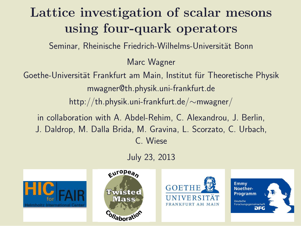### Lattice investigation of scalar mesons using four-quark operators

Seminar, Rheinische Friedrich-Wilhelms-Universität Bonn

Marc Wagner

Goethe-Universität Frankfurt am Main, Institut für Theoretische Physik mwagner@th.physik.uni-frankfurt.de

http://th.physik.uni-frankfurt.de/∼mwagner/

in collaboration with A. Abdel-Rehim, C. Alexandrou, J. Berlin, J. Daldrop, M. Dalla Brida, M. Gravina, L. Scorzato, C. Urbach, C. Wiese

July 23, 2013







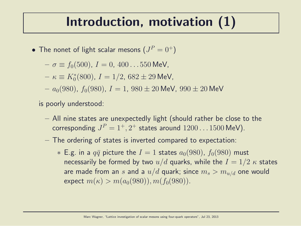#### Introduction, motivation (1)

- $\bullet\,$  The nonet of light scalar mesons  $(J^P=0^+)$ 
	- $-\sigma \equiv f_0(500), I = 0, 400...550$  MeV,
	- $\kappa \equiv K_0^*(800)$ ,  $I = 1/2$ ,  $682 \pm 29$  MeV,
	- $a_0(980)$ ,  $f_0(980)$ ,  $I = 1$ ,  $980 \pm 20$  MeV,  $990 \pm 20$  MeV

is poorly understood:

- All nine states are unexpectedly light (should rather be close to the corresponding  $J^P=1^+,2^+$  states around  $1200\ldots1500$  MeV).
- The ordering of states is inverted compared to expectation:
	- $*$  E.g. in a  $q\bar{q}$  picture the  $I = 1$  states  $a_0(980)$ ,  $f_0(980)$  must necessarily be formed by two  $u/d$  quarks, while the  $I = 1/2 \kappa$  states are made from an s and a  $u/d$  quark; since  $m_s > m_{u/d}$  one would expect  $m(\kappa) > m(a_0(980)), m(f_0(980)).$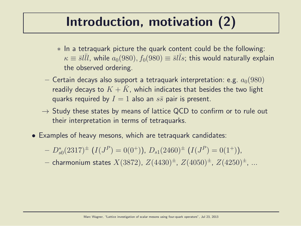### Introduction, motivation (2)

- ∗ In a tetraquark picture the quark content could be the following:  $\kappa \equiv {\bar s} l \bar l l$ , while  $a_0(980), f_0(980) \equiv {\bar s} l \bar l s$ ; this would naturally explain the observed ordering.
- Certain decays also support a tetraquark interpretation: e.g.  $a_0(980)$ readily decays to  $K + \bar{K}$ , which indicates that besides the two light quarks required by  $I = 1$  also an  $s\bar{s}$  pair is present.
- $\rightarrow$  Study these states by means of lattice QCD to confirm or to rule out their interpretation in terms of tetraquarks.
- Examples of heavy mesons, which are tetraquark candidates:
	- $-D_{s0}^{*}(2317)^{\pm}$   $(I(J^{P})=0(0^{+}))$ ,  $D_{s1}(2460)^{\pm}$   $(I(J^{P})=0(1^{+}))$ ,

- charmonium states  $X(3872)$ ,  $Z(4430)^{\pm}$ ,  $Z(4050)^{\pm}$ ,  $Z(4250)^{\pm}$ , ...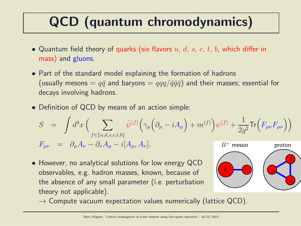## QCD (quantum chromodynamics)

- Quantum field theory of quarks (six flavors  $u, d, s, c, t, b$ , which differ in mass) and gluons.
- Part of the standard model explaining the formation of hadrons (usually mesons =  $q\bar{q}$  and baryons =  $qqq/\bar{q}\bar{q}\bar{q}$ ) and their masses; essential for decays involving hadrons.
- Definition of QCD by means of an action simple:

$$
S = \int d^4x \left( \sum_{f \in \{u,d,s,c,t,b\}} \bar{\psi}^{(f)} \Big( \gamma_\mu \Big( \partial_\mu - iA_\mu \Big) + m^{(f)} \Big) \psi^{(f)} + \frac{1}{2g^2} \text{Tr} \Big( F_{\mu\nu} F_{\mu\nu} \Big) \right)
$$
  

$$
F_{\mu\nu} = \partial_\mu A_\nu - \partial_\nu A_\mu - i[A_\mu, A_\nu].
$$
  
*B<sup>+</sup> meson proton*

• However, no analytical solutions for low energy QCD observables, e.g. hadron masses, known, because of the absence of any small parameter (i.e. perturbation theory not applicable).



 $\rightarrow$  Compute vacuum expectation values numerically (lattice QCD).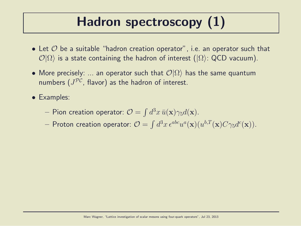### Hadron spectroscopy (1)

- Let  $\mathcal O$  be a suitable "hadron creation operator", i.e. an operator such that  $\mathcal{O}|\Omega\rangle$  is a state containing the hadron of interest ( $|\Omega\rangle$ : QCD vacuum).
- More precisely: ... an operator such that  $\mathcal{O}|\Omega\rangle$  has the same quantum numbers  $(J^{\mathcal{PC}},$  flavor) as the hadron of interest.
- Examples:
	- $-$  Pion creation operator:  $\mathcal{O} = \int d^3x \, \bar{u}(\mathbf{x}) \gamma_5 d(\mathbf{x}).$
	- $-$  Proton creation operator:  $\mathcal{O}=\int d^3x\,\epsilon^{abc}u^a(\mathbf{x})(u^{b,T}(\mathbf{x})C\gamma_5d^c(\mathbf{x})).$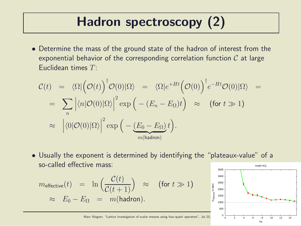### Hadron spectroscopy (2)

• Determine the mass of the ground state of the hadron of interest from the exponential behavior of the corresponding correlation function  $C$  at large Euclidean times  $T<sup>1</sup>$ 

$$
\mathcal{C}(t) = \langle \Omega | \left( \mathcal{O}(t) \right)^{\dagger} \mathcal{O}(0) | \Omega \rangle = \langle \Omega | e^{+Ht} \left( \mathcal{O}(0) \right)^{\dagger} e^{-Ht} \mathcal{O}(0) | \Omega \rangle =
$$
  
\n
$$
= \sum_{n} \left| \langle n | \mathcal{O}(0) | \Omega \rangle \right|^{2} \exp \left( - (E_{n} - E_{\Omega}) t \right) \approx \text{ (for } t \gg 1\text{)}
$$
  
\n
$$
\approx \left| \langle 0 | \mathcal{O}(0) | \Omega \rangle \right|^{2} \exp \left( - \underbrace{(E_{0} - E_{\Omega})}_{m(\text{hadron})} t \right).
$$

• Usually the exponent is determined by identifying the "plateaux-value" of a so-called effective mass: 3500 mol(K+K))

$$
m_{\text{effective}}(t) = \ln\left(\frac{\mathcal{C}(t)}{\mathcal{C}(t+1)}\right) \approx \text{(for } t \gg 1\text{)}
$$
  

$$
\approx E_0 - E_\Omega = m(\text{hadron}).
$$



t/a

Marc Wagner, "Lattice investigation of scalar mesons using four-quark operators", Jul 23,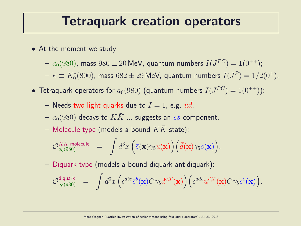#### Tetraquark creation operators

- At the moment we study
	- $a_0(980)$ , mass  $980\pm20$  MeV, quantum numbers  $I(J^{PC})=1(0^{++});$
	- $-\kappa\equiv K^*_0(800)$ , mass  $682\pm29$  MeV, quantum numbers  $I(J^P)=1/2(0^+).$
- $\bullet$  Tetraquark operators for  $a_0(980)$  (quantum numbers  $I(J^{PC})=1(0^{++}))$ :
	- Needs two light quarks due to  $I = 1$ , e.g.  $u\bar{d}$ .
	- $a_0(980)$  decays to  $KK$  ... suggests an  $s\bar{s}$  component.
	- Molecule type (models a bound  $KK$  state):

$$
\mathcal{O}_{a_0(980)}^{K\bar{K} \text{ molecule}} \quad = \quad \int d^3x \, \Big( \bar{s}(\mathbf{x}) \gamma_5 u(\mathbf{x}) \Big) \Big( \bar{d}(\mathbf{x}) \gamma_5 s(\mathbf{x}) \Big).
$$

– Diquark type (models a bound diquark-antidiquark):

$$
\mathcal{O}_{a_0(980)}^{\text{diquark}} \hspace{2mm} = \hspace{2mm} \int d^3x \hspace{0.05mm} \Big( \epsilon^{abc} \bar{s}^b(\mathbf{x}) C \gamma_5 \bar{d}^{c,T}(\mathbf{x}) \Big) \Big( \epsilon^{ade} u^{d,T}(\mathbf{x}) C \gamma_5 s^e(\mathbf{x}) \Big).
$$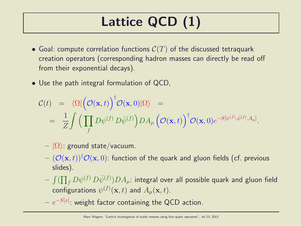## Lattice QCD (1)

- Goal: compute correlation functions  $C(T)$  of the discussed tetraquark creation operators (corresponding hadron masses can directly be read off from their exponential decays).
- Use the path integral formulation of QCD,

$$
\mathcal{C}(t) = \langle \Omega | \left( \mathcal{O}(\mathbf{x}, t) \right)^{\dagger} \mathcal{O}(\mathbf{x}, 0) | \Omega \rangle =
$$
  
= 
$$
\frac{1}{Z} \int \left( \prod_{f} D\psi^{(f)} D\bar{\psi}^{(f)} \right) DA_{\mu} \left( \mathcal{O}(\mathbf{x}, t) \right)^{\dagger} \mathcal{O}(\mathbf{x}, 0) e^{-S[\psi^{(f)}, \bar{\psi}^{(f)}, A_{\mu}]}.
$$

- $|\Omega\rangle$ : ground state/vacuum.
- $(\mathcal{O}(\mathbf{x}, t))^{\dagger} \mathcal{O}(\mathbf{x}, 0)$ : function of the quark and gluon fields (cf. previous slides).
- $\int (\prod_f D \psi^{(f)} \, D \bar \psi^{(f)} ) D A_\mu$ : integral over all possible quark and gluon field configurations  $\psi^{(f)}(\mathbf{x},t)$  and  $A_{\mu}(\mathbf{x},t).$
- $e^{-S[x]}.$  weight factor containing the QCD action.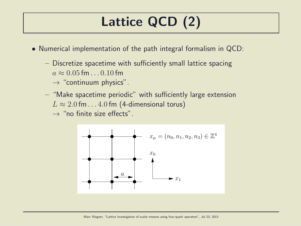## Lattice QCD (2)

- Numerical implementation of the path integral formalism in QCD:
	- Discretize spacetime with sufficiently small lattice spacing  $a \approx 0.05$  fm.  $0.10$  fm
		- $\rightarrow$  "continuum physics".
	- "Make spacetime periodic" with sufficiently large extension  $L \approx 2.0$  fm . . . 4.0 fm (4-dimensional torus)

 $\rightarrow$  "no finite size effects".

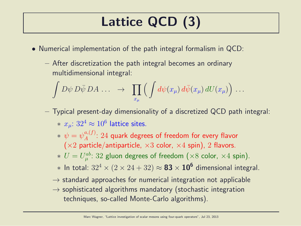## Lattice QCD (3)

- Numerical implementation of the path integral formalism in QCD:
	- After discretization the path integral becomes an ordinary multidimensional integral:

$$
\int D\psi \, D\bar{\psi} \, DA \, \ldots \quad \rightarrow \quad \prod_{x_{\mu}} \Big( \int d\psi(x_{\mu}) \, d\bar{\psi}(x_{\mu}) \, dU(x_{\mu}) \Big) \, \ldots
$$

- Typical present-day dimensionality of a discretized QCD path integral:  $* \; x_{\mu}$ :  $32^4 \approx 10^6$  lattice sites.
	- $*\,\,\psi=\psi_A^{a,(f)}$  $A^{a,(J)}$ :  $24$  quark degrees of freedom for every flavor  $(x2$  particle/antiparticle,  $x3$  color,  $x4$  spin), 2 flavors.
	- $* U = U_{\mu}^{ab}$  $\mathcal{P}_{\mu}^{ab}\colon 32$  gluon degrees of freedom  $(\times 8$  color,  $\times 4$  spin).
	- $*$  In total:  $32^4 \times (2 \times 24 + 32) \approx$   $\bf 83 \times 10^6$  dimensional integral.
	- $\rightarrow$  standard approaches for numerical integration not applicable
	- $\rightarrow$  sophisticated algorithms mandatory (stochastic integration techniques, so-called Monte-Carlo algorithms).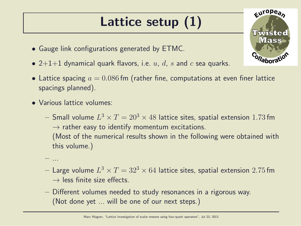### Lattice setup (1)

- Gauge link configurations generated by ETMC.
- 2+1+1 dynamical quark flavors, i.e.  $u, d, s$  and  $c$  sea quarks.
- Lattice spacing  $a = 0.086$  fm (rather fine, computations at even finer lattice spacings planned).
- Various lattice volumes:

– ...

- $-$  Small volume  $L^{3}\times T=20^{3}\times 48$  lattice sites, spatial extension  $1.73\,\mathrm{fm}$  $\rightarrow$  rather easy to identify momentum excitations. (Most of the numerical results shown in the following were obtained with this volume.)
- $-$  Large volume  $L^{3}\times T=32^{3}\times 64$  lattice sites, spatial extension  $2.75\,\mathrm{fm}$  $\rightarrow$  less finite size effects.
- Different volumes needed to study resonances in a rigorous way. (Not done yet ... will be one of our next steps.)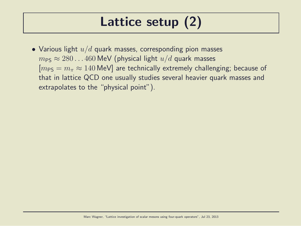### Lattice setup (2)

• Various light  $u/d$  quark masses, corresponding pion masses  $m_{PS} \approx 280...460$  MeV (physical light  $u/d$  quark masses  $[m_{PS} = m_{\pi} \approx 140 \text{ MeV}]$  are technically extremely challenging; because of that in lattice QCD one usually studies several heavier quark masses and extrapolates to the "physical point").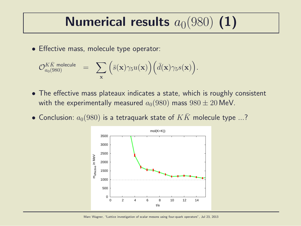## Numerical results  $a_0(980)$  (1)

• Effective mass, molecule type operator:

$$
\mathcal{O}_{a_0(980)}^{K\bar{K} \text{ molecule}} \quad = \quad \sum_{\mathbf{x}} \Big( \bar{s}(\mathbf{x}) \gamma_5 u(\mathbf{x}) \Big) \Big( \bar{d}(\mathbf{x}) \gamma_5 s(\mathbf{x}) \Big).
$$

- The effective mass plateaux indicates a state, which is roughly consistent with the experimentally measured  $a_0(980)$  mass  $980 \pm 20$  MeV.
- Conclusion:  $a_0(980)$  is a tetraquark state of  $KK$  molecule type ...?

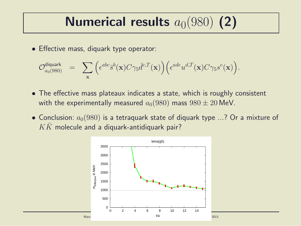## Numerical results  $a_0(980)$  (2)

• Effective mass, diquark type operator:

$$
\mathcal{O}_{a_0(980)}^{\text{diquark}} = \sum_{\mathbf{x}} \Big( \epsilon^{abc} \bar{s}^b(\mathbf{x}) C \gamma_5 \bar{d}^{c,T}(\mathbf{x}) \Big) \Big( \epsilon^{ade} u^{d,T}(\mathbf{x}) C \gamma_5 s^e(\mathbf{x}) \Big).
$$

- The effective mass plateaux indicates a state, which is roughly consistent with the experimentally measured  $a_0(980)$  mass  $980 \pm 20$  MeV.
- Conclusion:  $a_0(980)$  is a tetraguark state of diquark type ...? Or a mixture of  $K\bar{K}$  molecule and a diquark-antidiquark pair?

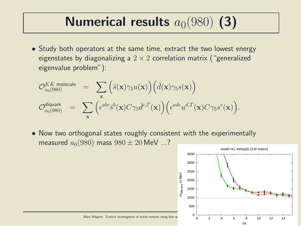# Numerical results  $a_0(980)$  (3)

• Study both operators at the same time, extract the two lowest energy eigenstates by diagonalizing a  $2 \times 2$  correlation matrix ("generalized eigenvalue problem"):

$$
\mathcal{O}_{a_0(980)}^{K\bar{K} \text{ molecule}} = \sum_{\mathbf{x}} (\bar{s}(\mathbf{x}) \gamma_5 u(\mathbf{x})) (\bar{d}(\mathbf{x}) \gamma_5 s(\mathbf{x}))
$$
  

$$
\mathcal{O}_{a_0(980)}^{\text{diquark}} = \sum_{\mathbf{x}} (\epsilon^{abc} \bar{s}^b(\mathbf{x}) C \gamma_5 \bar{d}^{c,T}(\mathbf{x})) (\epsilon^{ade} u^{d,T}(\mathbf{x}) C \gamma_5 s^e(\mathbf{x})).
$$

• Now two orthogonal states roughly consistent with the experimentally measured  $a_0(980)$  mass  $980 \pm 20$  MeV ...?

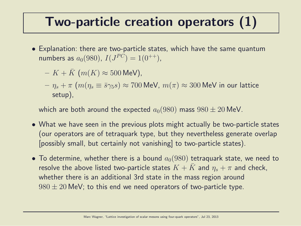#### Two-particle creation operators (1)

• Explanation: there are two-particle states, which have the same quantum numbers as  $a_0(980)$ ,  $I(J^{PC}) = 1(0^{++})$ ,

$$
- K + \bar{K} \ (m(K) \approx 500 \text{ MeV}),
$$

 $-\eta_s + \pi$   $(m(\eta_s \equiv \bar{s}\gamma_5 s) \approx 700$  MeV,  $m(\pi) \approx 300$  MeV in our lattice setup),

which are both around the expected  $a_0(980)$  mass  $980 \pm 20$  MeV.

- What we have seen in the previous plots might actually be two-particle states (our operators are of tetraquark type, but they nevertheless generate overlap [possibly small, but certainly not vanishing] to two-particle states).
- To determine, whether there is a bound  $a_0(980)$  tetraquark state, we need to resolve the above listed two-particle states  $K + \bar{K}$  and  $\eta_s + \pi$  and check, whether there is an additional 3rd state in the mass region around  $980 \pm 20$  MeV; to this end we need operators of two-particle type.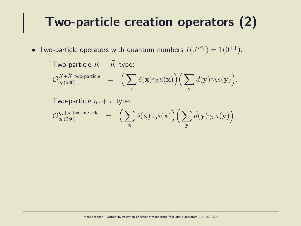#### Two-particle creation operators (2)

 $\bullet$  Two-particle operators with quantum numbers  $I(J^{PC})=1(0^{++})$ :

$$
-\text{ Two-particle } K+\bar{K} \text{ type:}\\ \mathcal{O}^{K+\bar{K} \text{ two-particle}}_{a_0(980)}\ =\ \Big(\sum_{\mathbf{x}}\bar{s}(\mathbf{x})\gamma_5u(\mathbf{x})\Big)\Big(\sum_{\mathbf{y}}\bar{d}(\mathbf{y})\gamma_5s(\mathbf{y})\Big).
$$

- Two-particle 
$$
\eta_s + \pi
$$
 type:

$$
\mathcal{O}_{a_0(980)}^{\eta_s + \pi\;\text{two-particle}}\quad = \quad \Big(\sum_{\mathbf{x}}\bar{s}(\mathbf{x})\gamma_5 s(\mathbf{x})\Big)\Big(\sum_{\mathbf{y}}\bar{d}(\mathbf{y})\gamma_5 u(\mathbf{y})\Big).
$$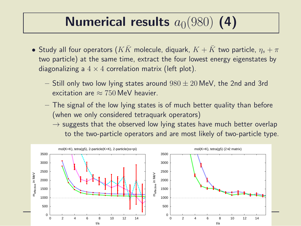## Numerical results  $a_0(980)$  (4)

- Study all four operators  $(KK)$  molecule, diquark,  $K + K$  two particle,  $\eta_s + \pi$ two particle) at the same time, extract the four lowest energy eigenstates by diagonalizing a  $4 \times 4$  correlation matrix (left plot).
	- $-$  Still only two low lying states around  $980 \pm 20$  MeV, the 2nd and 3rd excitation are  $\approx 750$  MeV heavier.
	- The signal of the low lying states is of much better quality than before (when we only considered tetraquark operators)
		- $\rightarrow$  suggests that the observed low lying states have much better overlap to the two-particle operators and are most likely of two-particle type.

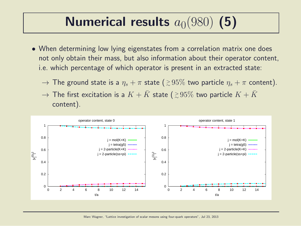# Numerical results  $a_0(980)$  (5)

- When determining low lying eigenstates from a correlation matrix one does not only obtain their mass, but also information about their operator content, i.e. which percentage of which operator is present in an extracted state:
	- $\rightarrow$  The ground state is a  $\eta_s + \pi$  state (  $\gtrsim\!95\%$  two particle  $\eta_s + \pi$  content).
	- $\rightarrow$  The first excitation is a  $K + \bar{K}$  state (  ${\gtrsim}\, 95\%$  two particle  $K + \bar{K}$ content).

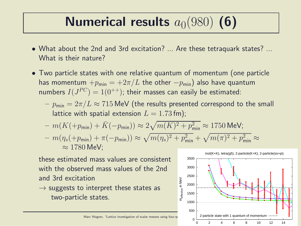# Numerical results  $a_0(980)$  (6)

- What about the 2nd and 3rd excitation? ... Are these tetraquark states? ... What is their nature?
- Two particle states with one relative quantum of momentum (one particle has momentum  $+p_{\text{min}} = +2\pi/L$  the other  $-p_{\text{min}}$ ) also have quantum numbers  $I(J^{PC})=1(0^{++})$ ; their masses can easily be estimated:
	- $-p_{\text{min}} = 2\pi/L \approx 715$  MeV (the results presented correspond to the small lattice with spatial extension  $L = 1.73$  fm);
	- $m(K(+p_{\text{min}}) + \bar{K}(-p_{\text{min}})) \approx 2\sqrt{m(K)^2 + p_{\text{min}}^2} \approx 1750 \text{ MeV};$
	- $-m(\eta_s(+p_{\sf min})+\pi(-p_{\sf min})) \approx \sqrt{m(\eta_s)^2 + p_{\sf min}^2} + \sqrt{m(\pi)^2 + p_{\sf min}^2} \approx$  $\approx 1780$  MeV:

these estimated mass values are consistent with the observed mass values of the 2nd and 3rd excitation

 $\rightarrow$  suggests to interpret these states as two-particle states.

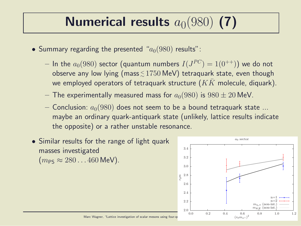# Numerical results  $a_0(980)$  (7)

- Summary regarding the presented " $a_0(980)$  results":
	- $-$  In the  $a_0(980)$  sector (quantum numbers  $I(J^{PC})= \mathbb{1}(0^{++}))$  we do not observe any low lying (mass ${\lesssim}\,1750\,\text{MeV})$  tetraquark state, even though we employed operators of tetraquark structure  $(K\bar K)$  molecule, diquark).
	- The experimentally measured mass for  $a_0(980)$  is  $980 \pm 20$  MeV.
	- Conclusion:  $a_0(980)$  does not seem to be a bound tetraquark state ... maybe an ordinary quark-antiquark state (unlikely, lattice results indicate the opposite) or a rather unstable resonance.
- Similar results for the range of light quark masses investigated  $(m_{PS} \approx 280...460 \text{ MeV}).$

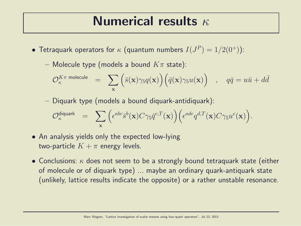#### Numerical results  $\kappa$

- $\bullet$  Tetraquark operators for  $\kappa$  (quantum numbers  $I(J^P)=1/2(0^+))$ :
	- Molecule type (models a bound  $K\pi$  state):

$$
\mathcal{O}_\kappa^{K\pi \text{ molecule}} \quad = \quad \sum_{\mathbf{x}} \Big( \bar{s}(\mathbf{x}) \gamma_5 q(\mathbf{x}) \Big) \Big( \bar{q}(\mathbf{x}) \gamma_5 u(\mathbf{x}) \Big) \quad , \quad q\bar{q} = u\bar{u} + d\bar{d}
$$

– Diquark type (models a bound diquark-antidiquark):

$$
\mathcal{O}_\kappa^{\text{diquark}} \;\; = \;\; \sum_{\mathbf{x}} \Big( \epsilon^{abc} \bar{s}^b(\mathbf{x}) C \gamma_5 \bar{q}^{c,T}(\mathbf{x}) \Big) \Big( \epsilon^{ade} q^{d,T}(\mathbf{x}) C \gamma_5 u^e(\mathbf{x}) \Big).
$$

- An analysis yields only the expected low-lying two-particle  $K + \pi$  energy levels.
- Conclusions:  $\kappa$  does not seem to be a strongly bound tetraquark state (either of molecule or of diquark type) ... maybe an ordinary quark-antiquark state (unlikely, lattice results indicate the opposite) or a rather unstable resonance.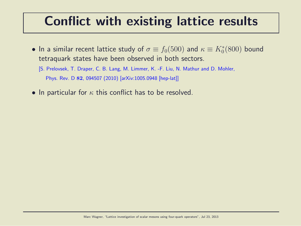#### Conflict with existing lattice results

- $\bullet$  In a similar recent lattice study of  $\sigma \equiv f_0(500)$  and  $\kappa \equiv K^*_0(800)$  bound tetraquark states have been observed in both sectors.
	- [S. Prelovsek, T. Draper, C. B. Lang, M. Limmer, K. -F. Liu, N. Mathur and D. Mohler, Phys. Rev. D 82, 094507 (2010) [arXiv:1005.0948 [hep-lat]]
- In particular for  $\kappa$  this conflict has to be resolved.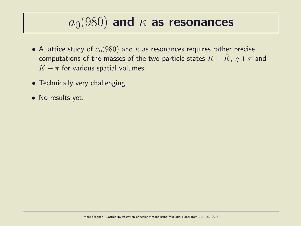## $a_0(980)$  and  $\kappa$  as resonances

- A lattice study of  $a_0(980)$  and  $\kappa$  as resonances requires rather precise computations of the masses of the two particle states  $K + K$ ,  $\eta + \pi$  and  $K + \pi$  for various spatial volumes.
- Technically very challenging.
- No results yet.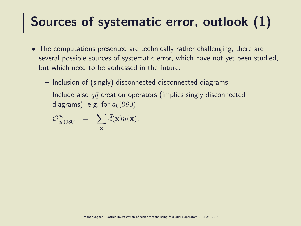### Sources of systematic error, outlook (1)

- The computations presented are technically rather challenging; there are several possible sources of systematic error, which have not yet been studied, but which need to be addressed in the future:
	- Inclusion of (singly) disconnected disconnected diagrams.
	- Include also  $q\bar{q}$  creation operators (implies singly disconnected diagrams), e.g. for  $a_0(980)$

$$
\mathcal{O}_{a_0(980)}^{q\bar{q}}\quad =\quad \sum_{\mathbf{x}} \bar{d}(\mathbf{x}) u(\mathbf{x}).
$$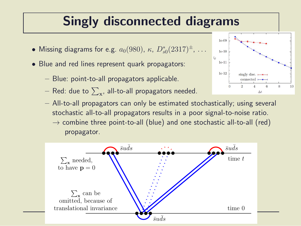### Singly disconnected diagrams

- Missing diagrams for e.g.  $a_0(980)$ ,  $\kappa$ ,  $D_{s0}^*(2317)^{\pm}$ ,  $\dots$
- Blue and red lines represent quark propagators:
	- Blue: point-to-all propagators applicable.
	- $-$  Red: due to  $\sum_{\mathbf{x}^{\prime}}$  all-to-all propagators needed.
	- All-to-all propagators can only be estimated stochastically; using several stochastic all-to-all propagators results in a poor signal-to-noise ratio.  $\rightarrow$  combine three point-to-all (blue) and one stochastic all-to-all (red) propagator.



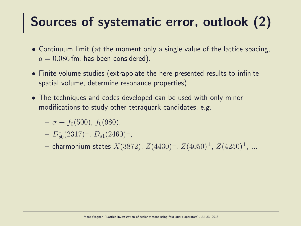### Sources of systematic error, outlook (2)

- Continuum limit (at the moment only a single value of the lattice spacing,  $a = 0.086$  fm, has been considered).
- Finite volume studies (extrapolate the here presented results to infinite spatial volume, determine resonance properties).
- The techniques and codes developed can be used with only minor modifications to study other tetraquark candidates, e.g.
	- $-\sigma \equiv f_0(500), f_0(980),$
	- $-D_{s0}^*(2317)^{\pm}, D_{s1}(2460)^{\pm},$
	- charmonium states  $X(3872)$ ,  $Z(4430)^{\pm}$ ,  $Z(4050)^{\pm}$ ,  $Z(4250)^{\pm}$ , ...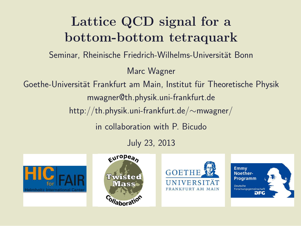### Lattice QCD signal for a bottom-bottom tetraquark Seminar, Rheinische Friedrich-Wilhelms-Universität Bonn Marc Wagner Goethe-Universität Frankfurt am Main, Institut für Theoretische Physik mwagner@th.physik.uni-frankfurt.de http://th.physik.uni-frankfurt.de/∼mwagner/ in collaboration with P. Bicudo July 23, 2013

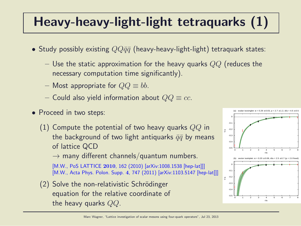## Heavy-heavy-light-light tetraquarks (1)

- Study possibly existing  $QQ\bar{q}\bar{q}$  (heavy-heavy-light-light) tetraquark states:
	- Use the static approximation for the heavy quarks  $QQ$  (reduces the necessary computation time significantly).
	- Most appropriate for  $QQ \equiv bb$ .
	- Could also yield information about  $QQ \equiv cc$ .
- Proceed in two steps:
	- (1) Compute the potential of two heavy quarks  $QQ$  in the background of two light antiquarks  $\bar{q}\bar{q}$  by means of lattice QCD

 $\rightarrow$  many different channels/quantum numbers.

[M.W., PoS LATTICE 2010, 162 (2010) [arXiv:1008.1538 [hep-lat]]] [M.W., Acta Phys. Polon. Supp. 4, 747 (2011) [arXiv:1103.5147 [hep-lat]]]

 $(2)$  Solve the non-relativistic Schrödinger equation for the relative coordinate of the heavy quarks  $QQ$ .